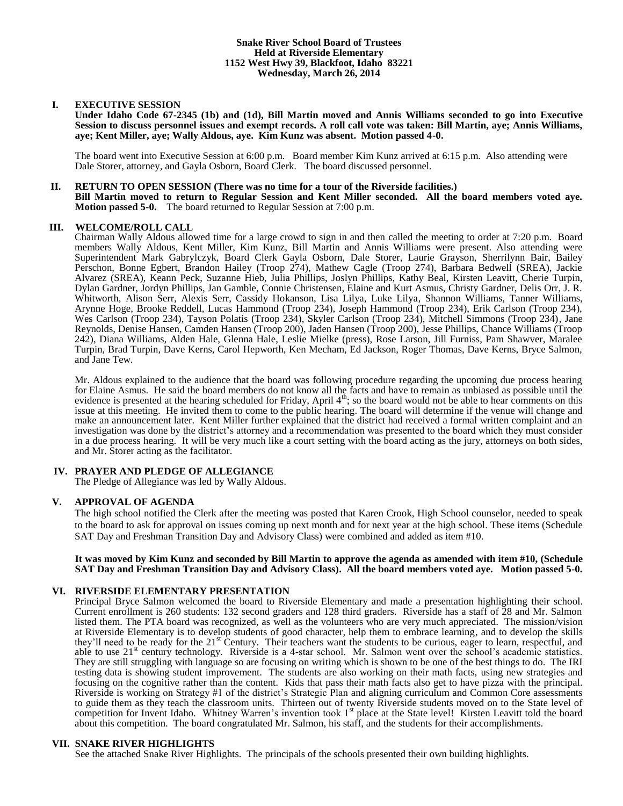## **I. EXECUTIVE SESSION**

**Under Idaho Code 67-2345 (1b) and (1d), Bill Martin moved and Annis Williams seconded to go into Executive Session to discuss personnel issues and exempt records. A roll call vote was taken: Bill Martin, aye; Annis Williams, aye; Kent Miller, aye; Wally Aldous, aye. Kim Kunz was absent. Motion passed 4-0.**

The board went into Executive Session at 6:00 p.m. Board member Kim Kunz arrived at 6:15 p.m. Also attending were Dale Storer, attorney, and Gayla Osborn, Board Clerk. The board discussed personnel.

#### **II. RETURN TO OPEN SESSION (There was no time for a tour of the Riverside facilities.)**

**Bill Martin moved to return to Regular Session and Kent Miller seconded. All the board members voted aye. Motion passed 5-0.** The board returned to Regular Session at 7:00 p.m.

## **III. WELCOME/ROLL CALL**

Chairman Wally Aldous allowed time for a large crowd to sign in and then called the meeting to order at 7:20 p.m. Board members Wally Aldous, Kent Miller, Kim Kunz, Bill Martin and Annis Williams were present. Also attending were Superintendent Mark Gabrylczyk, Board Clerk Gayla Osborn, Dale Storer, Laurie Grayson, Sherrilynn Bair, Bailey Perschon, Bonne Egbert, Brandon Hailey (Troop 274), Mathew Cagle (Troop 274), Barbara Bedwell (SREA), Jackie Alvarez (SREA), Keann Peck, Suzanne Hieb, Julia Phillips, Joslyn Phillips, Kathy Beal, Kirsten Leavitt, Cherie Turpin, Dylan Gardner, Jordyn Phillips, Jan Gamble, Connie Christensen, Elaine and Kurt Asmus, Christy Gardner, Delis Orr, J. R. Whitworth, Alison Serr, Alexis Serr, Cassidy Hokanson, Lisa Lilya, Luke Lilya, Shannon Williams, Tanner Williams, Arynne Hoge, Brooke Reddell, Lucas Hammond (Troop 234), Joseph Hammond (Troop 234), Erik Carlson (Troop 234), Wes Carlson (Troop 234), Tayson Polatis (Troop 234), Skyler Carlson (Troop 234), Mitchell Simmons (Troop 234), Jane Reynolds, Denise Hansen, Camden Hansen (Troop 200), Jaden Hansen (Troop 200), Jesse Phillips, Chance Williams (Troop 242), Diana Williams, Alden Hale, Glenna Hale, Leslie Mielke (press), Rose Larson, Jill Furniss, Pam Shawver, Maralee Turpin, Brad Turpin, Dave Kerns, Carol Hepworth, Ken Mecham, Ed Jackson, Roger Thomas, Dave Kerns, Bryce Salmon, and Jane Tew.

Mr. Aldous explained to the audience that the board was following procedure regarding the upcoming due process hearing for Elaine Asmus. He said the board members do not know all the facts and have to remain as unbiased as possible until the evidence is presented at the hearing scheduled for Friday, April 4<sup>th</sup>; so the board would not be able to hear comments on this issue at this meeting. He invited them to come to the public hearing. The board will determine if the venue will change and make an announcement later. Kent Miller further explained that the district had received a formal written complaint and an investigation was done by the district's attorney and a recommendation was presented to the board which they must consider in a due process hearing. It will be very much like a court setting with the board acting as the jury, attorneys on both sides, and Mr. Storer acting as the facilitator.

## **IV. PRAYER AND PLEDGE OF ALLEGIANCE**

The Pledge of Allegiance was led by Wally Aldous.

## **V. APPROVAL OF AGENDA**

The high school notified the Clerk after the meeting was posted that Karen Crook, High School counselor, needed to speak to the board to ask for approval on issues coming up next month and for next year at the high school. These items (Schedule SAT Day and Freshman Transition Day and Advisory Class) were combined and added as item #10.

### **It was moved by Kim Kunz and seconded by Bill Martin to approve the agenda as amended with item #10, (Schedule SAT Day and Freshman Transition Day and Advisory Class). All the board members voted aye. Motion passed 5-0.**

## **VI. RIVERSIDE ELEMENTARY PRESENTATION**

Principal Bryce Salmon welcomed the board to Riverside Elementary and made a presentation highlighting their school. Current enrollment is 260 students: 132 second graders and 128 third graders. Riverside has a staff of 28 and Mr. Salmon listed them. The PTA board was recognized, as well as the volunteers who are very much appreciated. The mission/vision at Riverside Elementary is to develop students of good character, help them to embrace learning, and to develop the skills they'll need to be ready for the 21<sup>st</sup> Century. Their teachers want the students to be curious, eager to learn, respectful, and able to use  $21<sup>st</sup>$  century technology. Riverside is a 4-star school. Mr. Salmon went over the school's academic statistics. They are still struggling with language so are focusing on writing which is shown to be one of the best things to do. The IRI testing data is showing student improvement. The students are also working on their math facts, using new strategies and focusing on the cognitive rather than the content. Kids that pass their math facts also get to have pizza with the principal. Riverside is working on Strategy #1 of the district's Strategic Plan and aligning curriculum and Common Core assessments to guide them as they teach the classroom units. Thirteen out of twenty Riverside students moved on to the State level of competition for Invent Idaho. Whitney Warren's invention took 1<sup>st</sup> place at the State level! Kirsten Leavitt told the board about this competition. The board congratulated Mr. Salmon, his staff, and the students for their accomplishments.

#### **VII. SNAKE RIVER HIGHLIGHTS**

See the attached Snake River Highlights. The principals of the schools presented their own building highlights.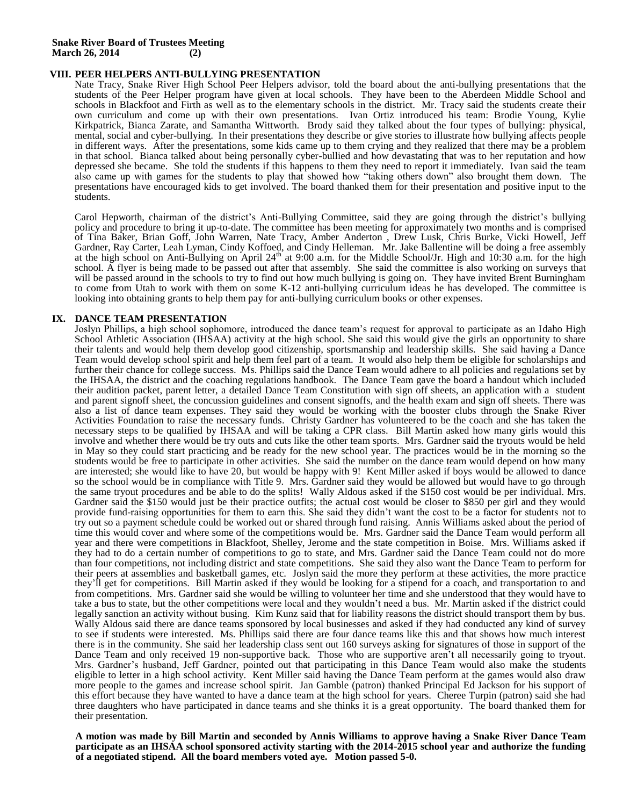## **VIII. PEER HELPERS ANTI-BULLYING PRESENTATION**

Nate Tracy, Snake River High School Peer Helpers advisor, told the board about the anti-bullying presentations that the students of the Peer Helper program have given at local schools. They have been to the Aberdeen Middle School and schools in Blackfoot and Firth as well as to the elementary schools in the district. Mr. Tracy said the students create their own curriculum and come up with their own presentations. Ivan Ortiz introduced his team: Brodie Young, Kylie Kirkpatrick, Bianca Zarate, and Samantha Wittworth. Brody said they talked about the four types of bullying: physical, mental, social and cyber-bullying. In their presentations they describe or give stories to illustrate how bullying affects people in different ways. After the presentations, some kids came up to them crying and they realized that there may be a problem in that school. Bianca talked about being personally cyber-bullied and how devastating that was to her reputation and how depressed she became. She told the students if this happens to them they need to report it immediately. Ivan said the team also came up with games for the students to play that showed how "taking others down" also brought them down. The presentations have encouraged kids to get involved. The board thanked them for their presentation and positive input to the students.

Carol Hepworth, chairman of the district's Anti-Bullying Committee, said they are going through the district's bullying policy and procedure to bring it up-to-date. The committee has been meeting for approximately two months and is comprised of Tina Baker, Brian Goff, John Warren, Nate Tracy, Amber Anderton , Drew Lusk, Chris Burke, Vicki Howell, Jeff Gardner, Ray Carter, Leah Lyman, Cindy Koffoed, and Cindy Helleman. Mr. Jake Ballentine will be doing a free assembly at the high school on Anti-Bullying on April 24<sup>th</sup> at 9:00 a.m. for the Middle School/Jr. High and 10:30 a.m. for the high school. A flyer is being made to be passed out after that assembly. She said the committee is also working on surveys that will be passed around in the schools to try to find out how much bullying is going on. They have invited Brent Burningham to come from Utah to work with them on some K-12 anti-bullying curriculum ideas he has developed. The committee is looking into obtaining grants to help them pay for anti-bullying curriculum books or other expenses.

## **IX. DANCE TEAM PRESENTATION**

Joslyn Phillips, a high school sophomore, introduced the dance team's request for approval to participate as an Idaho High School Athletic Association (IHSAA) activity at the high school. She said this would give the girls an opportunity to share their talents and would help them develop good citizenship, sportsmanship and leadership skills. She said having a Dance Team would develop school spirit and help them feel part of a team. It would also help them be eligible for scholarships and further their chance for college success. Ms. Phillips said the Dance Team would adhere to all policies and regulations set by the IHSAA, the district and the coaching regulations handbook. The Dance Team gave the board a handout which included their audition packet, parent letter, a detailed Dance Team Constitution with sign off sheets, an application with a student and parent signoff sheet, the concussion guidelines and consent signoffs, and the health exam and sign off sheets. There was also a list of dance team expenses. They said they would be working with the booster clubs through the Snake River Activities Foundation to raise the necessary funds. Christy Gardner has volunteered to be the coach and she has taken the necessary steps to be qualified by IHSAA and will be taking a CPR class. Bill Martin asked how many girls would this involve and whether there would be try outs and cuts like the other team sports. Mrs. Gardner said the tryouts would be held in May so they could start practicing and be ready for the new school year. The practices would be in the morning so the students would be free to participate in other activities. She said the number on the dance team would depend on how many are interested; she would like to have 20, but would be happy with 9! Kent Miller asked if boys would be allowed to dance so the school would be in compliance with Title 9. Mrs. Gardner said they would be allowed but would have to go through the same tryout procedures and be able to do the splits! Wally Aldous asked if the \$150 cost would be per individual. Mrs. Gardner said the \$150 would just be their practice outfits; the actual cost would be closer to \$850 per girl and they would provide fund-raising opportunities for them to earn this. She said they didn't want the cost to be a factor for students not to try out so a payment schedule could be worked out or shared through fund raising. Annis Williams asked about the period of time this would cover and where some of the competitions would be. Mrs. Gardner said the Dance Team would perform all year and there were competitions in Blackfoot, Shelley, Jerome and the state competition in Boise. Mrs. Williams asked if they had to do a certain number of competitions to go to state, and Mrs. Gardner said the Dance Team could not do more than four competitions, not including district and state competitions. She said they also want the Dance Team to perform for their peers at assemblies and basketball games, etc. Joslyn said the more they perform at these activities, the more practice they'll get for competitions. Bill Martin asked if they would be looking for a stipend for a coach, and transportation to and from competitions. Mrs. Gardner said she would be willing to volunteer her time and she understood that they would have to take a bus to state, but the other competitions were local and they wouldn't need a bus. Mr. Martin asked if the district could legally sanction an activity without busing. Kim Kunz said that for liability reasons the district should transport them by bus. Wally Aldous said there are dance teams sponsored by local businesses and asked if they had conducted any kind of survey to see if students were interested. Ms. Phillips said there are four dance teams like this and that shows how much interest there is in the community. She said her leadership class sent out 160 surveys asking for signatures of those in support of the Dance Team and only received 19 non-supportive back. Those who are supportive aren't all necessarily going to tryout. Mrs. Gardner's husband, Jeff Gardner, pointed out that participating in this Dance Team would also make the students eligible to letter in a high school activity. Kent Miller said having the Dance Team perform at the games would also draw more people to the games and increase school spirit. Jan Gamble (patron) thanked Principal Ed Jackson for his support of this effort because they have wanted to have a dance team at the high school for years. Cheree Turpin (patron) said she had three daughters who have participated in dance teams and she thinks it is a great opportunity. The board thanked them for their presentation.

**A motion was made by Bill Martin and seconded by Annis Williams to approve having a Snake River Dance Team participate as an IHSAA school sponsored activity starting with the 2014-2015 school year and authorize the funding of a negotiated stipend. All the board members voted aye. Motion passed 5-0.**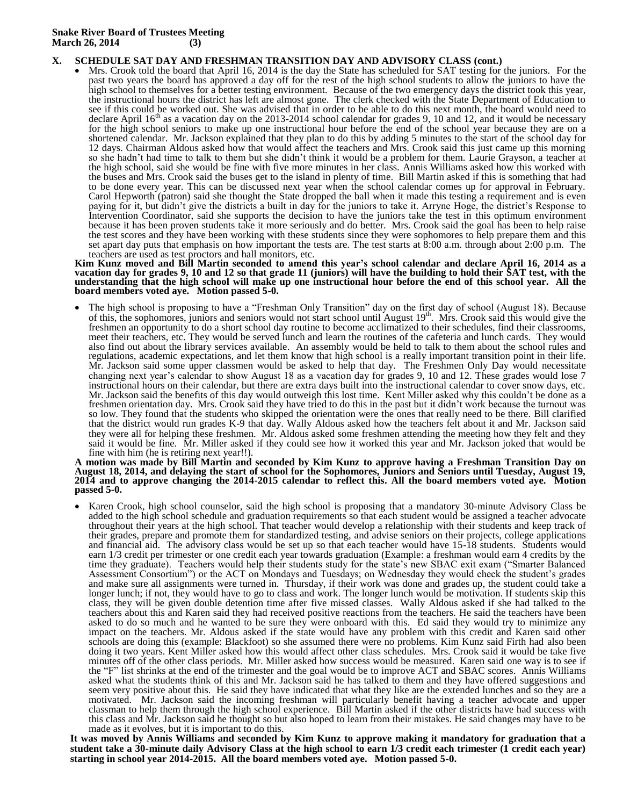## **X. SCHEDULE SAT DAY AND FRESHMAN TRANSITION DAY AND ADVISORY CLASS (cont.)**

• Mrs. Crook told the board that April 16, 2014 is the day the State has scheduled for SAT testing for the juniors. For the past two years the board has approved a day off for the rest of the high school students to allow the juniors to have the high school to themselves for a better testing environment. Because of the two emergency days the district took this year, the instructional hours the district has left are almost gone. The clerk checked with the State Department of Education to see if this could be worked out. She was advised that in order to be able to do this next month, the board would need to declare April  $16<sup>th</sup>$  as a vacation day on the 2013-2014 school calendar for grades 9, 10 and 12, and it would be necessary for the high school seniors to make up one instructional hour before the end of the school year because they are on a shortened calendar. Mr. Jackson explained that they plan to do this by adding 5 minutes to the start of the school day for 12 days. Chairman Aldous asked how that would affect the teachers and Mrs. Crook said this just came up this morning so she hadn't had time to talk to them but she didn't think it would be a problem for them. Laurie Grayson, a teacher at the high school, said she would be fine with five more minutes in her class. Annis Williams asked how this worked with the buses and Mrs. Crook said the buses get to the island in plenty of time. Bill Martin asked if this is something that had to be done every year. This can be discussed next year when the school calendar comes up for approval in February. Carol Hepworth (patron) said she thought the State dropped the ball when it made this testing a requirement and is even paying for it, but didn't give the districts a built in day for the juniors to take it. Arryne Hoge, the district's Response to Intervention Coordinator, said she supports the decision to have the juniors take the test in this optimum environment because it has been proven students take it more seriously and do better. Mrs. Crook said the goal has been to help raise the test scores and they have been working with these students since they were sophomores to help prepare them and this set apart day puts that emphasis on how important the tests are. The test starts at 8:00 a.m. through about 2:00 p.m. The teachers are used as test proctors and hall monitors, etc.

#### **Kim Kunz moved and Bill Martin seconded to amend this year's school calendar and declare April 16, 2014 as a vacation day for grades 9, 10 and 12 so that grade 11 (juniors) will have the building to hold their SAT test, with the understanding that the high school will make up one instructional hour before the end of this school year. All the board members voted aye. Motion passed 5-0.**

 The high school is proposing to have a "Freshman Only Transition" day on the first day of school (August 18). Because of this, the sophomores, juniors and seniors would not start school until August  $19<sup>th</sup>$ . Mrs. Crook said this would give the freshmen an opportunity to do a short school day routine to become acclimatized to their schedules, find their classrooms, meet their teachers, etc. They would be served lunch and learn the routines of the cafeteria and lunch cards. They would also find out about the library services available. An assembly would be held to talk to them about the school rules and regulations, academic expectations, and let them know that high school is a really important transition point in their life. Mr. Jackson said some upper classmen would be asked to help that day. The Freshmen Only Day would necessitate changing next year's calendar to show August 18 as a vacation day for grades 9, 10 and 12. These grades would lose 7 instructional hours on their calendar, but there are extra days built into the instructional calendar to cover snow days, etc. Mr. Jackson said the benefits of this day would outweigh this lost time. Kent Miller asked why this couldn't be done as a freshmen orientation day. Mrs. Crook said they have tried to do this in the past but it didn't work because the turnout was so low. They found that the students who skipped the orientation were the ones that really need to be there. Bill clarified that the district would run grades K-9 that day. Wally Aldous asked how the teachers felt about it and Mr. Jackson said they were all for helping these freshmen. Mr. Aldous asked some freshmen attending the meeting how they felt and they said it would be fine. Mr. Miller asked if they could see how it worked this year and Mr. Jackson joked that would be fine with him (he is retiring next year!!).

#### **A motion was made by Bill Martin and seconded by Kim Kunz to approve having a Freshman Transition Day on August 18, 2014, and delaying the start of school for the Sophomores, Juniors and Seniors until Tuesday, August 19, 2014 and to approve changing the 2014-2015 calendar to reflect this. All the board members voted aye. Motion passed 5-0.**

 Karen Crook, high school counselor, said the high school is proposing that a mandatory 30-minute Advisory Class be added to the high school schedule and graduation requirements so that each student would be assigned a teacher advocate throughout their years at the high school. That teacher would develop a relationship with their students and keep track of their grades, prepare and promote them for standardized testing, and advise seniors on their projects, college applications and financial aid. The advisory class would be set up so that each teacher would have 15-18 students. Students would earn 1/3 credit per trimester or one credit each year towards graduation (Example: a freshman would earn 4 credits by the time they graduate). Teachers would help their students study for the state's new SBAC exit exam ("Smarter Balanced Assessment Consortium") or the ACT on Mondays and Tuesdays; on Wednesday they would check the student's grades and make sure all assignments were turned in. Thursday, if their work was done and grades up, the student could take a longer lunch; if not, they would have to go to class and work. The longer lunch would be motivation. If students skip this class, they will be given double detention time after five missed classes. Wally Aldous asked if she had talked to the teachers about this and Karen said they had received positive reactions from the teachers. He said the teachers have been asked to do so much and he wanted to be sure they were onboard with this. Ed said they would try to minimize any impact on the teachers. Mr. Aldous asked if the state would have any problem with this credit and Karen said other schools are doing this (example: Blackfoot) so she assumed there were no problems. Kim Kunz said Firth had also been doing it two years. Kent Miller asked how this would affect other class schedules. Mrs. Crook said it would be take five minutes off of the other class periods. Mr. Miller asked how success would be measured. Karen said one way is to see if the "F" list shrinks at the end of the trimester and the goal would be to improve ACT and SBAC scores. Annis Williams asked what the students think of this and Mr. Jackson said he has talked to them and they have offered suggestions and seem very positive about this. He said they have indicated that what they like are the extended lunches and so they are a motivated. Mr. Jackson said the incoming freshman will particularly benefit having a teacher advocate and upper classman to help them through the high school experience. Bill Martin asked if the other districts have had success with this class and Mr. Jackson said he thought so but also hoped to learn from their mistakes. He said changes may have to be made as it evolves, but it is important to do this.

**It was moved by Annis Williams and seconded by Kim Kunz to approve making it mandatory for graduation that a student take a 30-minute daily Advisory Class at the high school to earn 1/3 credit each trimester (1 credit each year) starting in school year 2014-2015. All the board members voted aye. Motion passed 5-0.**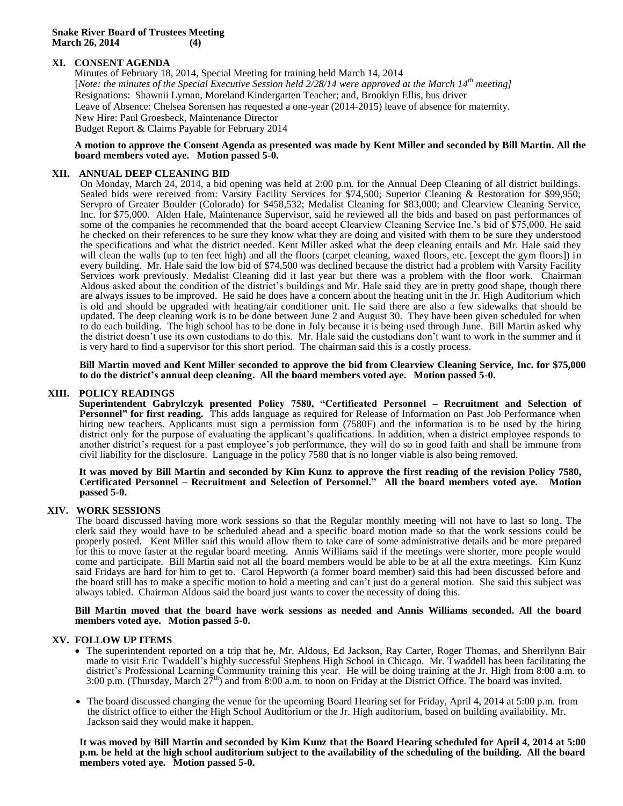## **Snake River Board of Trustees Meeting March 26, 2014 (4)**

# **XI. CONSENT AGENDA**

Minutes of February 18, 2014, Special Meeting for training held March 14, 2014 [*Note: the minutes of the Special Executive Session held 2/28/14 were approved at the March 14th meeting]* Resignations: Shawnii Lyman, Moreland Kindergarten Teacher; and, Brooklyn Ellis, bus driver Leave of Absence: Chelsea Sorensen has requested a one-year (2014-2015) leave of absence for maternity. New Hire: Paul Groesbeck, Maintenance Director Budget Report & Claims Payable for February 2014

#### **A motion to approve the Consent Agenda as presented was made by Kent Miller and seconded by Bill Martin. All the board members voted aye. Motion passed 5-0.**

# **XII. ANNUAL DEEP CLEANING BID**

On Monday, March 24, 2014, a bid opening was held at 2:00 p.m. for the Annual Deep Cleaning of all district buildings. Sealed bids were received from: Varsity Facility Services for \$74,500; Superior Cleaning & Restoration for \$99,950; Servpro of Greater Boulder (Colorado) for \$458,532; Medalist Cleaning for \$83,000; and Clearview Cleaning Service, Inc. for \$75,000. Alden Hale, Maintenance Supervisor, said he reviewed all the bids and based on past performances of some of the companies he recommended that the board accept Clearview Cleaning Service Inc.'s bid of \$75,000. He said he checked on their references to be sure they know what they are doing and visited with them to be sure they understood the specifications and what the district needed. Kent Miller asked what the deep cleaning entails and Mr. Hale said they will clean the walls (up to ten feet high) and all the floors (carpet cleaning, waxed floors, etc. [except the gym floors]) in every building. Mr. Hale said the low bid of \$74,500 was declined because the district had a problem with Varsity Facility Services work previously. Medalist Cleaning did it last year but there was a problem with the floor work. Chairman Aldous asked about the condition of the district's buildings and Mr. Hale said they are in pretty good shape, though there are always issues to be improved. He said he does have a concern about the heating unit in the Jr. High Auditorium which is old and should be upgraded with heating/air conditioner unit. He said there are also a few sidewalks that should be updated. The deep cleaning work is to be done between June 2 and August 30. They have been given scheduled for when to do each building. The high school has to be done in July because it is being used through June. Bill Martin asked why the district doesn't use its own custodians to do this. Mr. Hale said the custodians don't want to work in the summer and it is very hard to find a supervisor for this short period. The chairman said this is a costly process.

**Bill Martin moved and Kent Miller seconded to approve the bid from Clearview Cleaning Service, Inc. for \$75,000 to do the district's annual deep cleaning. All the board members voted aye. Motion passed 5-0.** 

## **XIII. POLICY READINGS**

**Superintendent Gabrylczyk presented Policy 7580, "Certificated Personnel – Recruitment and Selection of Personnel" for first reading.** This adds language as required for Release of Information on Past Job Performance when hiring new teachers. Applicants must sign a permission form (7580F) and the information is to be used by the hiring district only for the purpose of evaluating the applicant's qualifications. In addition, when a district employee responds to another district's request for a past employee's job performance, they will do so in good faith and shall be immune from civil liability for the disclosure. Language in the policy 7580 that is no longer viable is also being removed.

#### **It was moved by Bill Martin and seconded by Kim Kunz to approve the first reading of the revision Policy 7580, Certificated Personnel – Recruitment and Selection of Personnel." All the board members voted aye. Motion passed 5-0.**

## **XIV. WORK SESSIONS**

The board discussed having more work sessions so that the Regular monthly meeting will not have to last so long. The clerk said they would have to be scheduled ahead and a specific board motion made so that the work sessions could be properly posted. Kent Miller said this would allow them to take care of some administrative details and be more prepared for this to move faster at the regular board meeting. Annis Williams said if the meetings were shorter, more people would come and participate. Bill Martin said not all the board members would be able to be at all the extra meetings. Kim Kunz said Fridays are hard for him to get to. Carol Hepworth (a former board member) said this had been discussed before and the board still has to make a specific motion to hold a meeting and can't just do a general motion. She said this subject was always tabled. Chairman Aldous said the board just wants to cover the necessity of doing this.

## **Bill Martin moved that the board have work sessions as needed and Annis Williams seconded. All the board members voted aye. Motion passed 5-0.**

## **XV. FOLLOW UP ITEMS**

- The superintendent reported on a trip that he, Mr. Aldous, Ed Jackson, Ray Carter, Roger Thomas, and Sherrilynn Bair made to visit Eric Twaddell's highly successful Stephens High School in Chicago. Mr. Twaddell has been facilitating the district's Professional Learning Community training this year. He will be doing training at the Jr. High from 8:00 a.m. to 3:00 p.m. (Thursday, March 27<sup>th</sup>) and from 8:00 a.m. to noon on Friday at the District Office. The board was invited.
- The board discussed changing the venue for the upcoming Board Hearing set for Friday, April 4, 2014 at 5:00 p.m. from the district office to either the High School Auditorium or the Jr. High auditorium, based on building availability. Mr. Jackson said they would make it happen.

**It was moved by Bill Martin and seconded by Kim Kunz that the Board Hearing scheduled for April 4, 2014 at 5:00 p.m. be held at the high school auditorium subject to the availability of the scheduling of the building. All the board members voted aye. Motion passed 5-0.**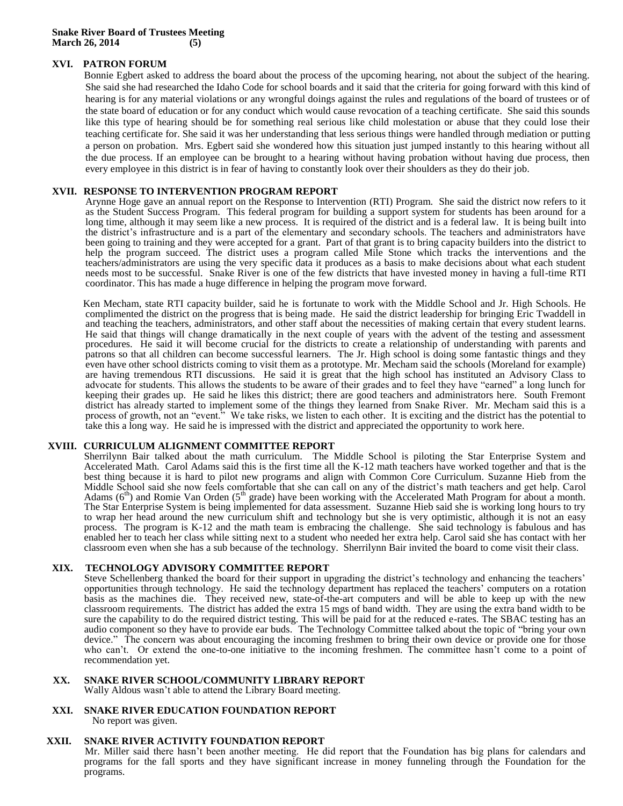# **XVI. PATRON FORUM**

Bonnie Egbert asked to address the board about the process of the upcoming hearing, not about the subject of the hearing. She said she had researched the Idaho Code for school boards and it said that the criteria for going forward with this kind of hearing is for any material violations or any wrongful doings against the rules and regulations of the board of trustees or of the state board of education or for any conduct which would cause revocation of a teaching certificate. She said this sounds like this type of hearing should be for something real serious like child molestation or abuse that they could lose their teaching certificate for. She said it was her understanding that less serious things were handled through mediation or putting a person on probation. Mrs. Egbert said she wondered how this situation just jumped instantly to this hearing without all the due process. If an employee can be brought to a hearing without having probation without having due process, then every employee in this district is in fear of having to constantly look over their shoulders as they do their job.

## **XVII. RESPONSE TO INTERVENTION PROGRAM REPORT**

Arynne Hoge gave an annual report on the Response to Intervention (RTI) Program. She said the district now refers to it as the Student Success Program. This federal program for building a support system for students has been around for a long time, although it may seem like a new process. It is required of the district and is a federal law. It is being built into the district's infrastructure and is a part of the elementary and secondary schools. The teachers and administrators have been going to training and they were accepted for a grant. Part of that grant is to bring capacity builders into the district to help the program succeed. The district uses a program called Mile Stone which tracks the interventions and the teachers/administrators are using the very specific data it produces as a basis to make decisions about what each student needs most to be successful. Snake River is one of the few districts that have invested money in having a full-time RTI coordinator. This has made a huge difference in helping the program move forward.

Ken Mecham, state RTI capacity builder, said he is fortunate to work with the Middle School and Jr. High Schools. He complimented the district on the progress that is being made. He said the district leadership for bringing Eric Twaddell in and teaching the teachers, administrators, and other staff about the necessities of making certain that every student learns. He said that things will change dramatically in the next couple of years with the advent of the testing and assessment procedures. He said it will become crucial for the districts to create a relationship of understanding with parents and patrons so that all children can become successful learners. The Jr. High school is doing some fantastic things and they even have other school districts coming to visit them as a prototype. Mr. Mecham said the schools (Moreland for example) are having tremendous RTI discussions. He said it is great that the high school has instituted an Advisory Class to advocate for students. This allows the students to be aware of their grades and to feel they have "earned" a long lunch for keeping their grades up. He said he likes this district; there are good teachers and administrators here. South Fremont district has already started to implement some of the things they learned from Snake River. Mr. Mecham said this is a process of growth, not an "event." We take risks, we listen to each other. It is exciting and the district has the potential to take this a long way. He said he is impressed with the district and appreciated the opportunity to work here.

## **XVIII. CURRICULUM ALIGNMENT COMMITTEE REPORT**

Sherrilynn Bair talked about the math curriculum. The Middle School is piloting the Star Enterprise System and Accelerated Math. Carol Adams said this is the first time all the K-12 math teachers have worked together and that is the best thing because it is hard to pilot new programs and align with Common Core Curriculum. Suzanne Hieb from the Middle School said she now feels comfortable that she can call on any of the district's math teachers and get help. Carol Adams  $(6<sup>th</sup>)$  and Romie Van Orden  $(5<sup>th</sup>$  grade) have been working with the Accelerated Math Program for about a month. The Star Enterprise System is being implemented for data assessment. Suzanne Hieb said she is working long hours to try to wrap her head around the new curriculum shift and technology but she is very optimistic, although it is not an easy process. The program is K-12 and the math team is embracing the challenge. She said technology is fabulous and has enabled her to teach her class while sitting next to a student who needed her extra help. Carol said she has contact with her classroom even when she has a sub because of the technology. Sherrilynn Bair invited the board to come visit their class.

## **XIX. TECHNOLOGY ADVISORY COMMITTEE REPORT**

Steve Schellenberg thanked the board for their support in upgrading the district's technology and enhancing the teachers' opportunities through technology. He said the technology department has replaced the teachers' computers on a rotation basis as the machines die. They received new, state-of-the-art computers and will be able to keep up with the new classroom requirements. The district has added the extra 15 mgs of band width. They are using the extra band width to be sure the capability to do the required district testing. This will be paid for at the reduced e-rates. The SBAC testing has an audio component so they have to provide ear buds. The Technology Committee talked about the topic of "bring your own device." The concern was about encouraging the incoming freshmen to bring their own device or provide one for those who can't. Or extend the one-to-one initiative to the incoming freshmen. The committee hasn't come to a point of recommendation yet.

## **XX. SNAKE RIVER SCHOOL/COMMUNITY LIBRARY REPORT**

Wally Aldous wasn't able to attend the Library Board meeting.

**XXI. SNAKE RIVER EDUCATION FOUNDATION REPORT**  No report was given.

# **XXII. SNAKE RIVER ACTIVITY FOUNDATION REPORT**

Mr. Miller said there hasn't been another meeting. He did report that the Foundation has big plans for calendars and programs for the fall sports and they have significant increase in money funneling through the Foundation for the programs.